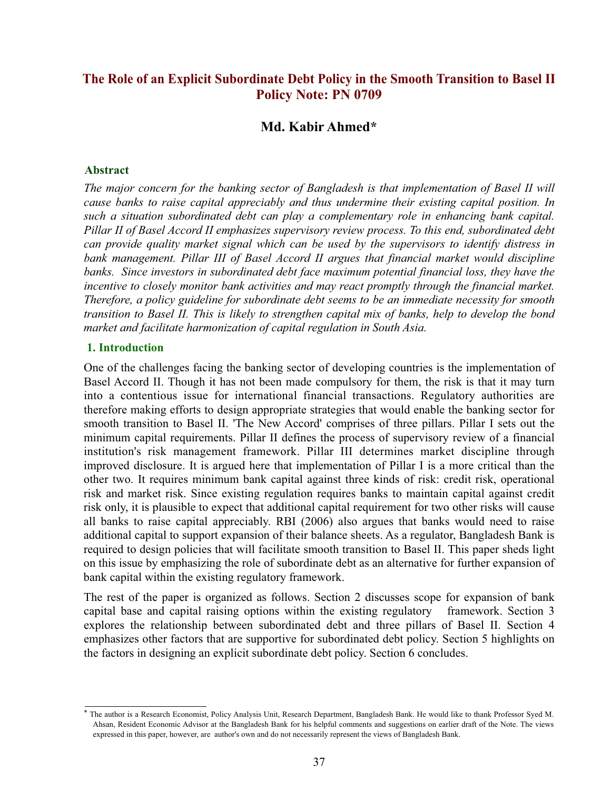# **The Role of an Explicit Subordinate Debt Policy in the Smooth Transition to Basel II Policy Note: PN 0709**

# **Md. Kabir Ahmed\***

#### **Abstract**

*The major concern for the banking sector of Bangladesh is that implementation of Basel II will cause banks to raise capital appreciably and thus undermine their existing capital position. In such a situation subordinated debt can play a complementary role in enhancing bank capital. Pillar II of Basel Accord II emphasizes supervisory review process. To this end, subordinated debt can provide quality market signal which can be used by the supervisors to identify distress in bank management. Pillar III of Basel Accord II argues that financial market would discipline banks. Since investors in subordinated debt face maximum potential financial loss, they have the incentive to closely monitor bank activities and may react promptly through the financial market. Therefore, a policy guideline for subordinate debt seems to be an immediate necessity for smooth transition to Basel II. This is likely to strengthen capital mix of banks, help to develop the bond market and facilitate harmonization of capital regulation in South Asia.*

#### **1. Introduction**

One of the challenges facing the banking sector of developing countries is the implementation of Basel Accord II. Though it has not been made compulsory for them, the risk is that it may turn into a contentious issue for international financial transactions. Regulatory authorities are therefore making efforts to design appropriate strategies that would enable the banking sector for smooth transition to Basel II. 'The New Accord' comprises of three pillars. Pillar I sets out the minimum capital requirements. Pillar II defines the process of supervisory review of a financial institution's risk management framework. Pillar III determines market discipline through improved disclosure. It is argued here that implementation of Pillar I is a more critical than the other two. It requires minimum bank capital against three kinds of risk: credit risk, operational risk and market risk. Since existing regulation requires banks to maintain capital against credit risk only, it is plausible to expect that additional capital requirement for two other risks will cause all banks to raise capital appreciably. RBI (2006) also argues that banks would need to raise additional capital to support expansion of their balance sheets. As a regulator, Bangladesh Bank is required to design policies that will facilitate smooth transition to Basel II. This paper sheds light on this issue by emphasizing the role of subordinate debt as an alternative for further expansion of bank capital within the existing regulatory framework.

The rest of the paper is organized as follows. Section 2 discusses scope for expansion of bank capital base and capital raising options within the existing regulatory framework. Section 3 explores the relationship between subordinated debt and three pillars of Basel II. Section 4 emphasizes other factors that are supportive for subordinated debt policy. Section 5 highlights on the factors in designing an explicit subordinate debt policy. Section 6 concludes.

<sup>\*</sup> The author is a Research Economist, Policy Analysis Unit, Research Department, Bangladesh Bank. He would like to thank Professor Syed M. Ahsan, Resident Economic Advisor at the Bangladesh Bank for his helpful comments and suggestions on earlier draft of the Note. The views expressed in this paper, however, are author's own and do not necessarily represent the views of Bangladesh Bank.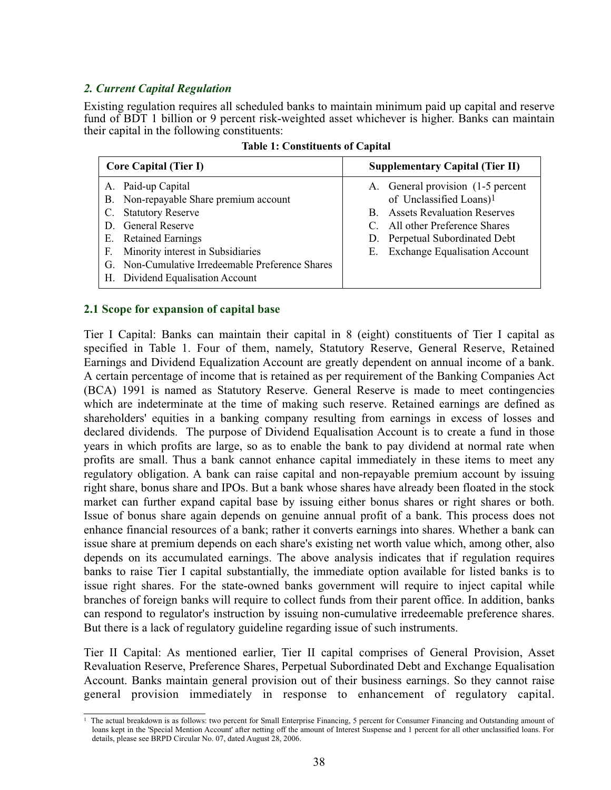## *2. Current Capital Regulation*

Existing regulation requires all scheduled banks to maintain minimum paid up capital and reserve fund of BDT 1 billion or 9 percent risk-weighted asset whichever is higher. Banks can maintain their capital in the following constituents:

| <b>Core Capital (Tier I)</b>                                                                                                                                                                                                                                          | <b>Supplementary Capital (Tier II)</b>                                                                                                                                                                                     |
|-----------------------------------------------------------------------------------------------------------------------------------------------------------------------------------------------------------------------------------------------------------------------|----------------------------------------------------------------------------------------------------------------------------------------------------------------------------------------------------------------------------|
| A. Paid-up Capital<br>B. Non-repayable Share premium account<br>C. Statutory Reserve<br>D. General Reserve<br>E. Retained Earnings<br>Minority interest in Subsidiaries<br>F.<br>G. Non-Cumulative Irredeemable Preference Shares<br>H. Dividend Equalisation Account | A. General provision (1-5 percent)<br>of Unclassified Loans) <sup>1</sup><br><b>B.</b> Assets Revaluation Reserves<br>C. All other Preference Shares<br>D. Perpetual Subordinated Debt<br>E. Exchange Equalisation Account |

## **2.1 Scope for expansion of capital base**

Tier I Capital: Banks can maintain their capital in 8 (eight) constituents of Tier I capital as specified in Table 1. Four of them, namely, Statutory Reserve, General Reserve, Retained Earnings and Dividend Equalization Account are greatly dependent on annual income of a bank. A certain percentage of income that is retained as per requirement of the Banking Companies Act (BCA) 1991 is named as Statutory Reserve. General Reserve is made to meet contingencies which are indeterminate at the time of making such reserve. Retained earnings are defined as shareholders' equities in a banking company resulting from earnings in excess of losses and declared dividends. The purpose of Dividend Equalisation Account is to create a fund in those years in which profits are large, so as to enable the bank to pay dividend at normal rate when profits are small. Thus a bank cannot enhance capital immediately in these items to meet any regulatory obligation. A bank can raise capital and non-repayable premium account by issuing right share, bonus share and IPOs. But a bank whose shares have already been floated in the stock market can further expand capital base by issuing either bonus shares or right shares or both. Issue of bonus share again depends on genuine annual profit of a bank. This process does not enhance financial resources of a bank; rather it converts earnings into shares. Whether a bank can issue share at premium depends on each share's existing net worth value which, among other, also depends on its accumulated earnings. The above analysis indicates that if regulation requires banks to raise Tier I capital substantially, the immediate option available for listed banks is to issue right shares. For the state-owned banks government will require to inject capital while branches of foreign banks will require to collect funds from their parent office. In addition, banks can respond to regulator's instruction by issuing non-cumulative irredeemable preference shares. But there is a lack of regulatory guideline regarding issue of such instruments.

Tier II Capital: As mentioned earlier, Tier II capital comprises of General Provision, Asset Revaluation Reserve, Preference Shares, Perpetual Subordinated Debt and Exchange Equalisation Account. Banks maintain general provision out of their business earnings. So they cannot raise general provision immediately in response to enhancement of regulatory capital.

<sup>1</sup> The actual breakdown is as follows: two percent for Small Enterprise Financing, 5 percent for Consumer Financing and Outstanding amount of loans kept in the 'Special Mention Account' after netting off the amount of Interest Suspense and 1 percent for all other unclassified loans. For details, please see BRPD Circular No. 07, dated August 28, 2006.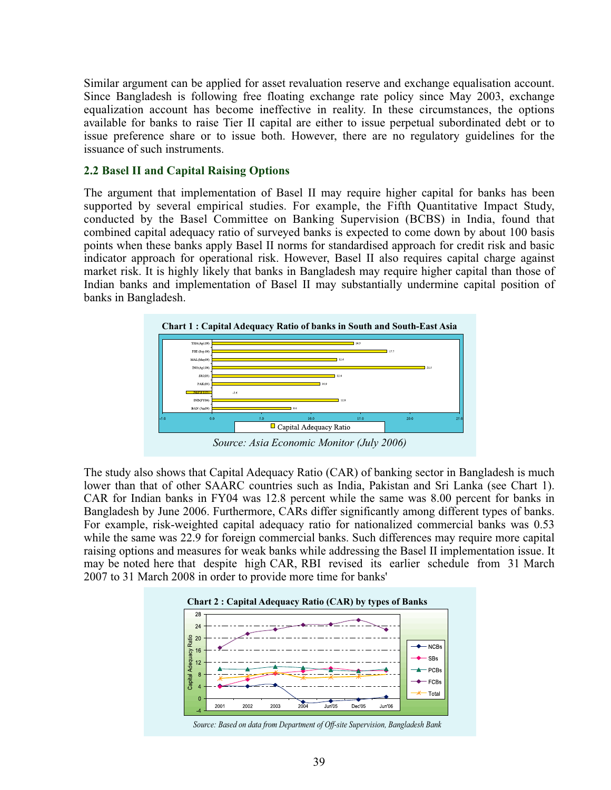Similar argument can be applied for asset revaluation reserve and exchange equalisation account. Since Bangladesh is following free floating exchange rate policy since May 2003, exchange equalization account has become ineffective in reality. In these circumstances, the options available for banks to raise Tier II capital are either to issue perpetual subordinated debt or to issue preference share or to issue both. However, there are no regulatory guidelines for the issuance of such instruments.

#### **2.2 Basel II and Capital Raising Options**

The argument that implementation of Basel II may require higher capital for banks has been supported by several empirical studies. For example, the Fifth Quantitative Impact Study, conducted by the Basel Committee on Banking Supervision (BCBS) in India, found that combined capital adequacy ratio of surveyed banks is expected to come down by about 100 basis points when these banks apply Basel II norms for standardised approach for credit risk and basic indicator approach for operational risk. However, Basel II also requires capital charge against market risk. It is highly likely that banks in Bangladesh may require higher capital than those of Indian banks and implementation of Basel II may substantially undermine capital position of banks in Bangladesh.



The study also shows that Capital Adequacy Ratio (CAR) of banking sector in Bangladesh is much lower than that of other SAARC countries such as India, Pakistan and Sri Lanka (see Chart 1). CAR for Indian banks in FY04 was 12.8 percent while the same was 8.00 percent for banks in Bangladesh by June 2006. Furthermore, CARs differ significantly among different types of banks. For example, risk-weighted capital adequacy ratio for nationalized commercial banks was 0.53 while the same was 22.9 for foreign commercial banks. Such differences may require more capital raising options and measures for weak banks while addressing the Basel II implementation issue. It may be noted here that despite high CAR, RBI revised its earlier schedule from 31 March 2007 to 31 March 2008 in order to provide more time for banks'



*Source: Based on data from Department of Off-site Supervision, Bangladesh Bank*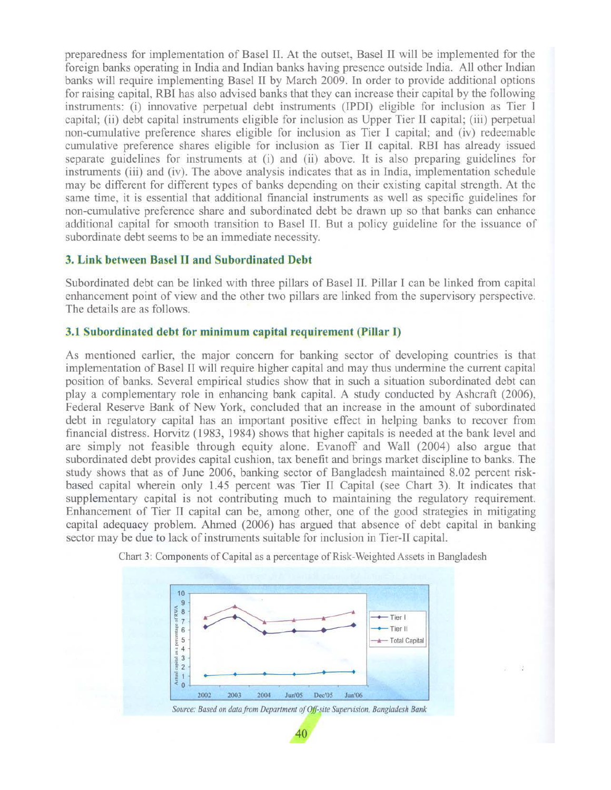preparedness for implementation of Basel II. At the outset, Basel II will be implemented for the foreign banks operating in India and Indian banks having presence outside India. All other Indian banks will require implementing Basel II by March 2009. In order to provide additional options for raising capital, RBI has also advised banks that they can increase their capital by the following instruments: (i) innovative perpetual debt instruments (IPDI) eligible for inclusion as Tier I capital; (ii) debt capital instruments eligible for inclusion as Upper Tier II capital; (iii) perpetual non-cumulative preference shares eligible for inclusion as Tier I capital; and (iv) redeemable cumulative preference shares eligible for inclusion as Tier II capital. RBI has already issued separate guidelines for instruments at (i) and (ii) above. It is also preparing guidelines for instruments (iii) and (iv). The above analysis indicates that as in India, implementation schedule may be different for different types of banks depending on their existing capital strength. At the same time, it is essential that additional financial instruments as well as specific guidelines for non-cumulative preference share and subordinated debt be drawn up so that banks can enhance additional capital for smooth transition to Basel II. But a policy guideline for the issuance of subordinate debt seems to be an immediate necessity.

### 3. Link between Basel II and Subordinated Debt

Subordinated debt can be linked with three pillars of Basel II. Pillar I can be linked from capital enhancement point of view and the other two pillars are linked from the supervisory perspective. The details are as follows.

#### 3.1 Subordinated debt for minimum capital requirement (Pillar I)

As mentioned earlier, the major concern for banking sector of developing countries is that implementation of Basel II will require higher capital and may thus undermine the current capital position of banks. Several empirical studies show that in such a situation subordinated debt can play a complementary role in enhancing bank capital. A study conducted by Ashcraft (2006), Federal Reserve Bank of New York, concluded that an increase in the amount of subordinated debt in regulatory capital has an important positive effect in helping banks to recover from financial distress. Horvitz (1983, 1984) shows that higher capitals is needed at the bank level and are simply not feasible through equity alone. Evanoff and Wall (2004) also argue that subordinated debt provides capital cushion, tax benefit and brings market discipline to banks. The study shows that as of June 2006, banking sector of Bangladesh maintained 8.02 percent riskbased capital wherein only 1.45 percent was Tier II Capital (see Chart 3). It indicates that supplementary capital is not contributing much to maintaining the regulatory requirement. Enhancement of Tier II capital can be, among other, one of the good strategies in mitigating capital adequacy problem. Ahmed (2006) has argued that absence of debt capital in banking sector may be due to lack of instruments suitable for inclusion in Tier-II capital.



40

Chart 3: Components of Capital as a percentage of Risk-Weighted Assets in Bangladesh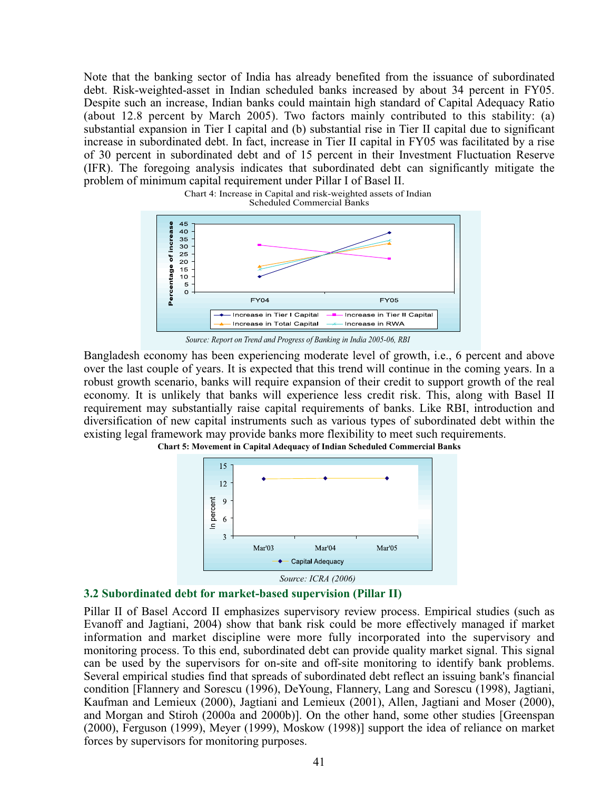Note that the banking sector of India has already benefited from the issuance of subordinated debt. Risk-weighted-asset in Indian scheduled banks increased by about 34 percent in FY05. Despite such an increase, Indian banks could maintain high standard of Capital Adequacy Ratio (about 12.8 percent by March 2005). Two factors mainly contributed to this stability: (a) substantial expansion in Tier I capital and (b) substantial rise in Tier II capital due to significant increase in subordinated debt. In fact, increase in Tier II capital in FY05 was facilitated by a rise of 30 percent in subordinated debt and of 15 percent in their Investment Fluctuation Reserve (IFR). The foregoing analysis indicates that subordinated debt can significantly mitigate the problem of minimum capital requirement under Pillar I of Basel II.



*Source: Report on Trend and Progress of Banking in India 2005-06, RBI*

Bangladesh economy has been experiencing moderate level of growth, i.e., 6 percent and above over the last couple of years. It is expected that this trend will continue in the coming years. In a robust growth scenario, banks will require expansion of their credit to support growth of the real economy. It is unlikely that banks will experience less credit risk. This, along with Basel II requirement may substantially raise capital requirements of banks. Like RBI, introduction and diversification of new capital instruments such as various types of subordinated debt within the existing legal framework may provide banks more flexibility to meet such requirements.



**Chart 5: Movement in Capital Adequacy of Indian Scheduled Commercial Banks**



Pillar II of Basel Accord II emphasizes supervisory review process. Empirical studies (such as Evanoff and Jagtiani, 2004) show that bank risk could be more effectively managed if market information and market discipline were more fully incorporated into the supervisory and monitoring process. To this end, subordinated debt can provide quality market signal. This signal can be used by the supervisors for on-site and off-site monitoring to identify bank problems. Several empirical studies find that spreads of subordinated debt reflect an issuing bank's financial condition [Flannery and Sorescu (1996), DeYoung, Flannery, Lang and Sorescu (1998), Jagtiani, Kaufman and Lemieux (2000), Jagtiani and Lemieux (2001), Allen, Jagtiani and Moser (2000), and Morgan and Stiroh (2000a and 2000b)]. On the other hand, some other studies [Greenspan (2000), Ferguson (1999), Meyer (1999), Moskow (1998)] support the idea of reliance on market forces by supervisors for monitoring purposes.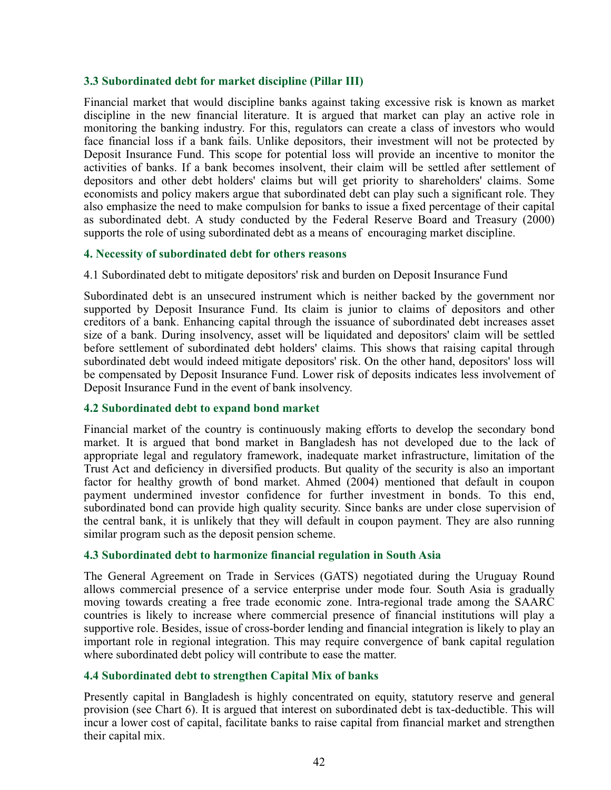#### **3.3 Subordinated debt for market discipline (Pillar III)**

Financial market that would discipline banks against taking excessive risk is known as market discipline in the new financial literature. It is argued that market can play an active role in monitoring the banking industry. For this, regulators can create a class of investors who would face financial loss if a bank fails. Unlike depositors, their investment will not be protected by Deposit Insurance Fund. This scope for potential loss will provide an incentive to monitor the activities of banks. If a bank becomes insolvent, their claim will be settled after settlement of depositors and other debt holders' claims but will get priority to shareholders' claims. Some economists and policy makers argue that subordinated debt can play such a significant role. They also emphasize the need to make compulsion for banks to issue a fixed percentage of their capital as subordinated debt. A study conducted by the Federal Reserve Board and Treasury (2000) supports the role of using subordinated debt as a means of encouraging market discipline.

#### **4. Necessity of subordinated debt for others reasons**

4.1 Subordinated debt to mitigate depositors' risk and burden on Deposit Insurance Fund

Subordinated debt is an unsecured instrument which is neither backed by the government nor supported by Deposit Insurance Fund. Its claim is junior to claims of depositors and other creditors of a bank. Enhancing capital through the issuance of subordinated debt increases asset size of a bank. During insolvency, asset will be liquidated and depositors' claim will be settled before settlement of subordinated debt holders' claims. This shows that raising capital through subordinated debt would indeed mitigate depositors' risk. On the other hand, depositors' loss will be compensated by Deposit Insurance Fund. Lower risk of deposits indicates less involvement of Deposit Insurance Fund in the event of bank insolvency.

## **4.2 Subordinated debt to expand bond market**

Financial market of the country is continuously making efforts to develop the secondary bond market. It is argued that bond market in Bangladesh has not developed due to the lack of appropriate legal and regulatory framework, inadequate market infrastructure, limitation of the Trust Act and deficiency in diversified products. But quality of the security is also an important factor for healthy growth of bond market. Ahmed (2004) mentioned that default in coupon payment undermined investor confidence for further investment in bonds. To this end, subordinated bond can provide high quality security. Since banks are under close supervision of the central bank, it is unlikely that they will default in coupon payment. They are also running similar program such as the deposit pension scheme.

## **4.3 Subordinated debt to harmonize financial regulation in South Asia**

The General Agreement on Trade in Services (GATS) negotiated during the Uruguay Round allows commercial presence of a service enterprise under mode four. South Asia is gradually moving towards creating a free trade economic zone. Intra-regional trade among the SAARC countries is likely to increase where commercial presence of financial institutions will play a supportive role. Besides, issue of cross-border lending and financial integration is likely to play an important role in regional integration. This may require convergence of bank capital regulation where subordinated debt policy will contribute to ease the matter.

## **4.4 Subordinated debt to strengthen Capital Mix of banks**

Presently capital in Bangladesh is highly concentrated on equity, statutory reserve and general provision (see Chart 6). It is argued that interest on subordinated debt is tax-deductible. This will incur a lower cost of capital, facilitate banks to raise capital from financial market and strengthen their capital mix.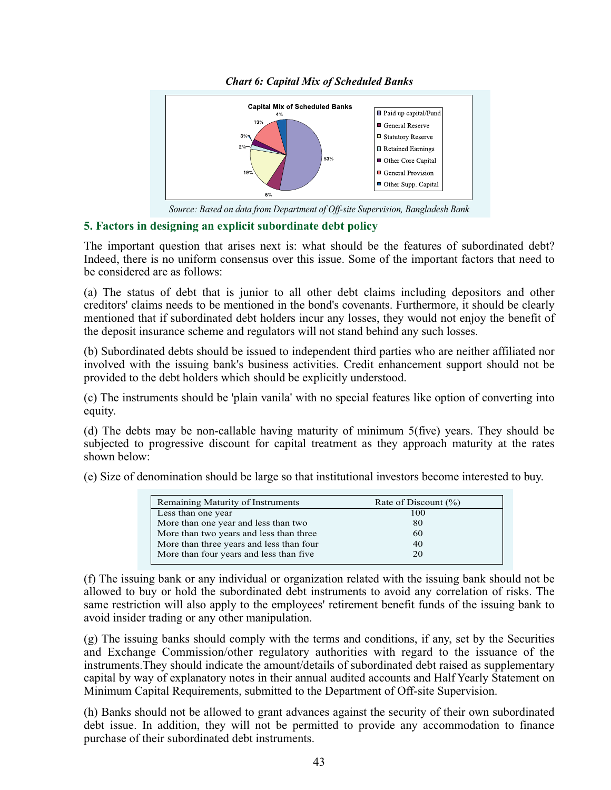

*Chart 6: Capital Mix of Scheduled Banks*

*Source: Based on data from Department of Off-site Supervision, Bangladesh Bank*

## **5. Factors in designing an explicit subordinate debt policy**

The important question that arises next is: what should be the features of subordinated debt? Indeed, there is no uniform consensus over this issue. Some of the important factors that need to be considered are as follows:

(a) The status of debt that is junior to all other debt claims including depositors and other creditors' claims needs to be mentioned in the bond's covenants. Furthermore, it should be clearly mentioned that if subordinated debt holders incur any losses, they would not enjoy the benefit of the deposit insurance scheme and regulators will not stand behind any such losses.

(b) Subordinated debts should be issued to independent third parties who are neither affiliated nor involved with the issuing bank's business activities. Credit enhancement support should not be provided to the debt holders which should be explicitly understood.

(c) The instruments should be 'plain vanila' with no special features like option of converting into equity.

(d) The debts may be non-callable having maturity of minimum 5(five) years. They should be subjected to progressive discount for capital treatment as they approach maturity at the rates shown below:

(e) Size of denomination should be large so that institutional investors become interested to buy.

| Remaining Maturity of Instruments        | Rate of Discount $(\% )$ |
|------------------------------------------|--------------------------|
| Less than one year                       | 100                      |
| More than one year and less than two     | 80                       |
| More than two years and less than three  | 60                       |
| More than three years and less than four | 40                       |
| More than four years and less than five  | 20                       |
|                                          |                          |

(f) The issuing bank or any individual or organization related with the issuing bank should not be allowed to buy or hold the subordinated debt instruments to avoid any correlation of risks. The same restriction will also apply to the employees' retirement benefit funds of the issuing bank to avoid insider trading or any other manipulation.

(g) The issuing banks should comply with the terms and conditions, if any, set by the Securities and Exchange Commission/other regulatory authorities with regard to the issuance of the instruments.They should indicate the amount/details of subordinated debt raised as supplementary capital by way of explanatory notes in their annual audited accounts and Half Yearly Statement on Minimum Capital Requirements, submitted to the Department of Off-site Supervision.

(h) Banks should not be allowed to grant advances against the security of their own subordinated debt issue. In addition, they will not be permitted to provide any accommodation to finance purchase of their subordinated debt instruments.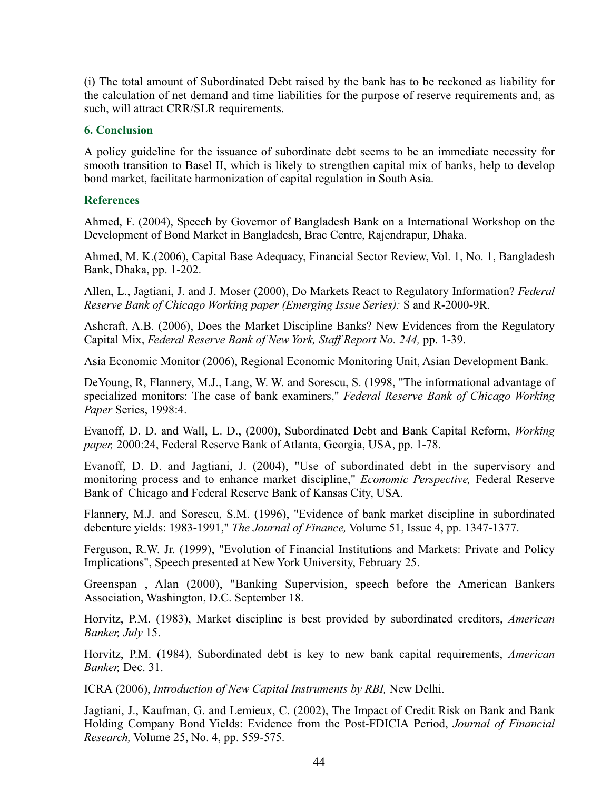(i) The total amount of Subordinated Debt raised by the bank has to be reckoned as liability for the calculation of net demand and time liabilities for the purpose of reserve requirements and, as such, will attract CRR/SLR requirements.

#### **6. Conclusion**

A policy guideline for the issuance of subordinate debt seems to be an immediate necessity for smooth transition to Basel II, which is likely to strengthen capital mix of banks, help to develop bond market, facilitate harmonization of capital regulation in South Asia.

## **References**

Ahmed, F. (2004), Speech by Governor of Bangladesh Bank on a International Workshop on the Development of Bond Market in Bangladesh, Brac Centre, Rajendrapur, Dhaka.

Ahmed, M. K.(2006), Capital Base Adequacy, Financial Sector Review, Vol. 1, No. 1, Bangladesh Bank, Dhaka, pp. 1-202.

Allen, L., Jagtiani, J. and J. Moser (2000), Do Markets React to Regulatory Information? *Federal Reserve Bank of Chicago Working paper (Emerging Issue Series):* S and R-2000-9R.

Ashcraft, A.B. (2006), Does the Market Discipline Banks? New Evidences from the Regulatory Capital Mix, *Federal Reserve Bank of New York, Staff Report No. 244,* pp. 1-39.

Asia Economic Monitor (2006), Regional Economic Monitoring Unit, Asian Development Bank.

DeYoung, R, Flannery, M.J., Lang, W. W. and Sorescu, S. (1998, "The informational advantage of specialized monitors: The case of bank examiners," *Federal Reserve Bank of Chicago Working Paper* Series, 1998:4.

Evanoff, D. D. and Wall, L. D., (2000), Subordinated Debt and Bank Capital Reform, *Working paper,* 2000:24, Federal Reserve Bank of Atlanta, Georgia, USA, pp. 1-78.

Evanoff, D. D. and Jagtiani, J. (2004), "Use of subordinated debt in the supervisory and monitoring process and to enhance market discipline," *Economic Perspective,* Federal Reserve Bank of Chicago and Federal Reserve Bank of Kansas City, USA.

Flannery, M.J. and Sorescu, S.M. (1996), "Evidence of bank market discipline in subordinated debenture yields: 1983-1991," *The Journal of Finance,* Volume 51, Issue 4, pp. 1347-1377.

Ferguson, R.W. Jr. (1999), "Evolution of Financial Institutions and Markets: Private and Policy Implications", Speech presented at New York University, February 25.

Greenspan , Alan (2000), "Banking Supervision, speech before the American Bankers Association, Washington, D.C. September 18.

Horvitz, P.M. (1983), Market discipline is best provided by subordinated creditors, *American Banker, July* 15.

Horvitz, P.M. (1984), Subordinated debt is key to new bank capital requirements, *American Banker,* Dec. 31.

ICRA (2006), *Introduction of New Capital Instruments by RBI,* New Delhi.

Jagtiani, J., Kaufman, G. and Lemieux, C. (2002), The Impact of Credit Risk on Bank and Bank Holding Company Bond Yields: Evidence from the Post-FDICIA Period, *Journal of Financial Research,* Volume 25, No. 4, pp. 559-575.